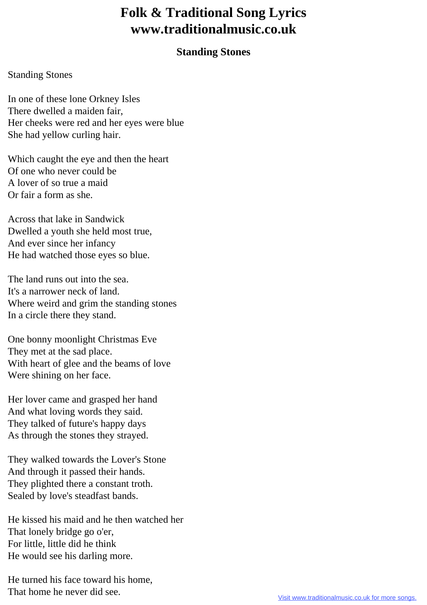## **Folk & Traditional Song Lyrics www.traditionalmusic.co.uk**

## **Standing Stones**

## Standing Stones

In one of these lone Orkney Isles There dwelled a maiden fair, Her cheeks were red and her eyes were blue She had yellow curling hair.

Which caught the eye and then the heart Of one who never could be A lover of so true a maid Or fair a form as she.

Across that lake in Sandwick Dwelled a youth she held most true, And ever since her infancy He had watched those eyes so blue.

The land runs out into the sea. It's a narrower neck of land. Where weird and grim the standing stones In a circle there they stand.

One bonny moonlight Christmas Eve They met at the sad place. With heart of glee and the beams of love Were shining on her face.

Her lover came and grasped her hand And what loving words they said. They talked of future's happy days As through the stones they strayed.

They walked towards the Lover's Stone And through it passed their hands. They plighted there a constant troth. Sealed by love's steadfast bands.

He kissed his maid and he then watched her That lonely bridge go o'er, For little, little did he think He would see his darling more.

He turned his face toward his home, That home he never did see.